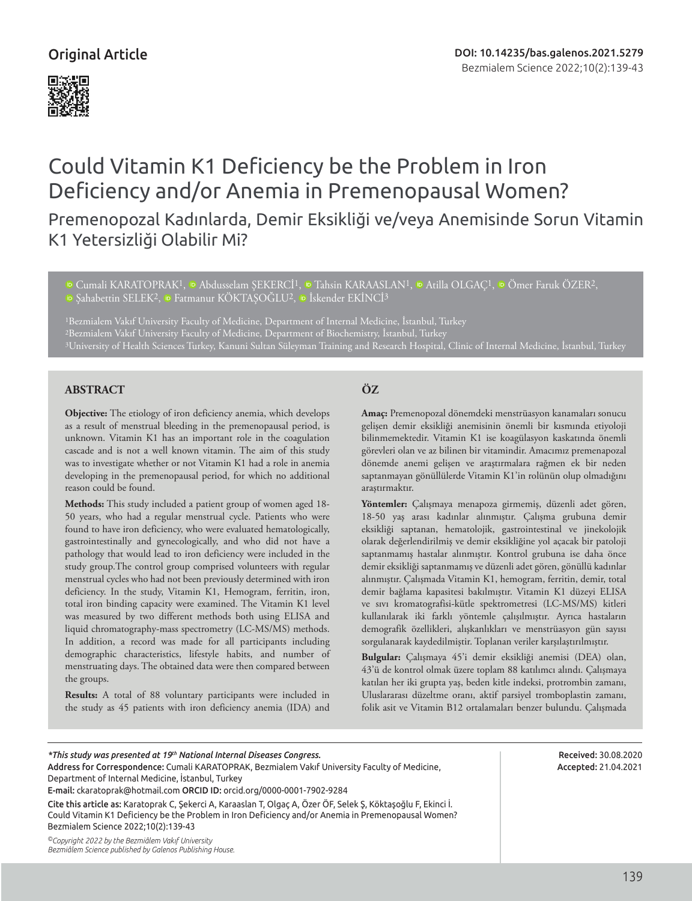# Could Vitamin K1 Deficiency be the Problem in Iron Deficiency and/or Anemia in Premenopausal Women?

Premenopozal Kadınlarda, Demir Eksikliği ve/veya Anemisinde Sorun Vitamin K1 Yetersizliği Olabilir Mi?

<sup>1</sup>Cumali KARATOPRAK<sup>1</sup>, **D** Abdusselam SEKERCİ<sup>1</sup>, D Tahsin KARAASLAN<sup>1</sup>, D Atilla OLGAC<sup>1</sup>, D Ömer Faruk ÖZER<sup>2</sup>, <sup>ID</sup>Sahabettin SELEK<sup>2</sup>, <sup>ID</sup> Fatmanur KÖKTASOĞLU<sup>2</sup>, <sup>ID</sup> İskender EKİNCİ<sup>3</sup>

1Bezmialem Vakıf University Faculty of Medicine, Department of Internal Medicine, İstanbul, Turkey 2Bezmialem Vakıf University Faculty of Medicine, Department of Biochemistry, İstanbul, Turkey 3University of Health Sciences Turkey, Kanuni Sultan Süleyman Training and Research Hospital, Clinic of Internal Medicine, İstanbul, Turkey

# **ABSTRACT ÖZ**

**Objective:** The etiology of iron deficiency anemia, which develops as a result of menstrual bleeding in the premenopausal period, is unknown. Vitamin K1 has an important role in the coagulation cascade and is not a well known vitamin. The aim of this study was to investigate whether or not Vitamin K1 had a role in anemia developing in the premenopausal period, for which no additional reason could be found.

**Methods:** This study included a patient group of women aged 18- 50 years, who had a regular menstrual cycle. Patients who were found to have iron deficiency, who were evaluated hematologically, gastrointestinally and gynecologically, and who did not have a pathology that would lead to iron deficiency were included in the study group.The control group comprised volunteers with regular menstrual cycles who had not been previously determined with iron deficiency. In the study, Vitamin K1, Hemogram, ferritin, iron, total iron binding capacity were examined. The Vitamin K1 level was measured by two different methods both using ELISA and liquid chromatography-mass spectrometry (LC-MS/MS) methods. In addition, a record was made for all participants including demographic characteristics, lifestyle habits, and number of menstruating days. The obtained data were then compared between the groups.

**Results:** A total of 88 voluntary participants were included in the study as 45 patients with iron deficiency anemia (IDA) and

**Amaç:** Premenopozal dönemdeki menstrüasyon kanamaları sonucu gelişen demir eksikliği anemisinin önemli bir kısmında etiyoloji bilinmemektedir. Vitamin K1 ise koagülasyon kaskatında önemli görevleri olan ve az bilinen bir vitamindir. Amacımız premenapozal dönemde anemi gelişen ve araştırmalara rağmen ek bir neden saptanmayan gönüllülerde Vitamin K1'in rolünün olup olmadığını araştırmaktır.

**Yöntemler:** Çalışmaya menapoza girmemiş, düzenli adet gören, 18-50 yaş arası kadınlar alınmıştır. Çalışma grubuna demir eksikliği saptanan, hematolojik, gastrointestinal ve jinekolojik olarak değerlendirilmiş ve demir eksikliğine yol açacak bir patoloji saptanmamış hastalar alınmıştır. Kontrol grubuna ise daha önce demir eksikliği saptanmamış ve düzenli adet gören, gönüllü kadınlar alınmıştır. Çalışmada Vitamin K1, hemogram, ferritin, demir, total demir bağlama kapasitesi bakılmıştır. Vitamin K1 düzeyi ELISA ve sıvı kromatografisi-kütle spektrometresi (LC-MS/MS) kitleri kullanılarak iki farklı yöntemle çalışılmıştır. Ayrıca hastaların demografik özellikleri, alışkanlıkları ve menstrüasyon gün sayısı sorgulanarak kaydedilmiştir. Toplanan veriler karşılaştırılmıştır.

**Bulgular:** Çalışmaya 45'i demir eksikliği anemisi (DEA) olan, 43'ü de kontrol olmak üzere toplam 88 katılımcı alındı. Çalışmaya katılan her iki grupta yaş, beden kitle indeksi, protrombin zamanı, Uluslararası düzeltme oranı, aktif parsiyel tromboplastin zamanı, folik asit ve Vitamin B12 ortalamaları benzer bulundu. Çalışmada

# *\*This study was presented at 19th National Internal Diseases Congress.*

Address for Correspondence: Cumali KARATOPRAK, Bezmialem Vakıf University Faculty of Medicine, Department of Internal Medicine, İstanbul, Turkey E-mail: ckaratoprak@hotmail.com ORCID ID: orcid.org/0000-0001-7902-9284

Cite this article as: Karatoprak C, Şekerci A, Karaaslan T, Olgaç A, Özer ÖF, Selek Ş, Köktaşoğlu F, Ekinci İ.

Could Vitamin K1 Deficiency be the Problem in Iron Deficiency and/or Anemia in Premenopausal Women? Bezmialem Science 2022;10(2):139-43

*©Copyright 2022 by the Bezmiâlem Vakıf University Bezmiâlem Science published by Galenos Publishing House.*

Received: 30.08.2020 Accepted: 21.04.2021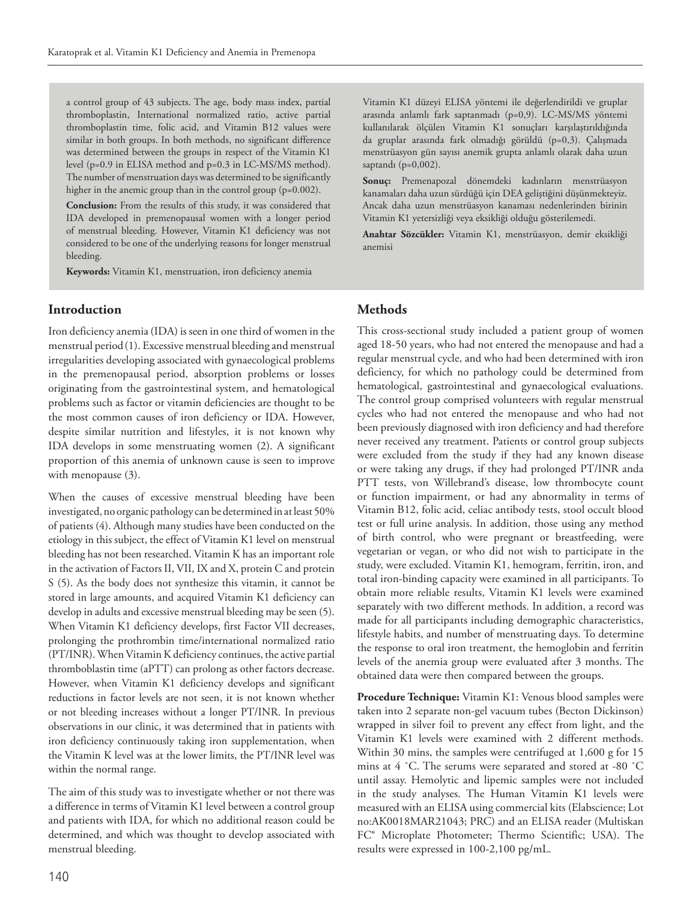a control group of 43 subjects. The age, body mass index, partial thromboplastin, International normalized ratio, active partial thromboplastin time, folic acid, and Vitamin B12 values were similar in both groups. In both methods, no significant difference was determined between the groups in respect of the Vitamin K1 level (p=0.9 in ELISA method and p=0.3 in LC-MS/MS method). The number of menstruation days was determined to be significantly higher in the anemic group than in the control group (p=0.002).

**Conclusion:** From the results of this study, it was considered that IDA developed in premenopausal women with a longer period of menstrual bleeding. However, Vitamin K1 deficiency was not considered to be one of the underlying reasons for longer menstrual bleeding.

**Keywords:** Vitamin K1, menstruation, iron deficiency anemia

### **Introduction**

Iron deficiency anemia (IDA) is seen in one third of women in the menstrual period(1). Excessive menstrual bleeding and menstrual irregularities developing associated with gynaecological problems in the premenopausal period, absorption problems or losses originating from the gastrointestinal system, and hematological problems such as factor or vitamin deficiencies are thought to be the most common causes of iron deficiency or IDA. However, despite similar nutrition and lifestyles, it is not known why IDA develops in some menstruating women (2). A significant proportion of this anemia of unknown cause is seen to improve with menopause (3).

When the causes of excessive menstrual bleeding have been investigated, no organic pathology can be determined in at least 50% of patients (4). Although many studies have been conducted on the etiology in this subject, the effect of Vitamin K1 level on menstrual bleeding has not been researched. Vitamin K has an important role in the activation of Factors II, VII, IX and X, protein C and protein S (5). As the body does not synthesize this vitamin, it cannot be stored in large amounts, and acquired Vitamin K1 deficiency can develop in adults and excessive menstrual bleeding may be seen (5). When Vitamin K1 deficiency develops, first Factor VII decreases, prolonging the prothrombin time/international normalized ratio (PT/INR). When Vitamin K deficiency continues, the active partial thromboblastin time (aPTT) can prolong as other factors decrease. However, when Vitamin K1 deficiency develops and significant reductions in factor levels are not seen, it is not known whether or not bleeding increases without a longer PT/INR. In previous observations in our clinic, it was determined that in patients with iron deficiency continuously taking iron supplementation, when the Vitamin K level was at the lower limits, the PT/INR level was within the normal range.

The aim of this study was to investigate whether or not there was a difference in terms of Vitamin K1 level between a control group and patients with IDA, for which no additional reason could be determined, and which was thought to develop associated with menstrual bleeding.

Vitamin K1 düzeyi ELISA yöntemi ile değerlendirildi ve gruplar arasında anlamlı fark saptanmadı (p=0,9). LC-MS/MS yöntemi kullanılarak ölçülen Vitamin K1 sonuçları karşılaştırıldığında da gruplar arasında fark olmadığı görüldü (p=0,3). Çalışmada menstrüasyon gün sayısı anemik grupta anlamlı olarak daha uzun saptandı (p=0,002).

**Sonuç:** Premenapozal dönemdeki kadınların menstrüasyon kanamaları daha uzun sürdüğü için DEA geliştiğini düşünmekteyiz. Ancak daha uzun menstrüasyon kanaması nedenlerinden birinin Vitamin K1 yetersizliği veya eksikliği olduğu gösterilemedi.

**Anahtar Sözcükler:** Vitamin K1, menstrüasyon, demir eksikliği anemisi

# **Methods**

This cross-sectional study included a patient group of women aged 18-50 years, who had not entered the menopause and had a regular menstrual cycle, and who had been determined with iron deficiency, for which no pathology could be determined from hematological, gastrointestinal and gynaecological evaluations. The control group comprised volunteers with regular menstrual cycles who had not entered the menopause and who had not been previously diagnosed with iron deficiency and had therefore never received any treatment. Patients or control group subjects were excluded from the study if they had any known disease or were taking any drugs, if they had prolonged PT/INR anda PTT tests, von Willebrand's disease, low thrombocyte count or function impairment, or had any abnormality in terms of Vitamin B12, folic acid, celiac antibody tests, stool occult blood test or full urine analysis. In addition, those using any method of birth control, who were pregnant or breastfeeding, were vegetarian or vegan, or who did not wish to participate in the study, were excluded. Vitamin K1, hemogram, ferritin, iron, and total iron-binding capacity were examined in all participants. To obtain more reliable results, Vitamin K1 levels were examined separately with two different methods. In addition, a record was made for all participants including demographic characteristics, lifestyle habits, and number of menstruating days. To determine the response to oral iron treatment, the hemoglobin and ferritin levels of the anemia group were evaluated after 3 months. The obtained data were then compared between the groups.

**Procedure Technique:** Vitamin K1: Venous blood samples were taken into 2 separate non-gel vacuum tubes (Becton Dickinson) wrapped in silver foil to prevent any effect from light, and the Vitamin K1 levels were examined with 2 different methods. Within 30 mins, the samples were centrifuged at 1,600 g for 15 mins at 4 ˚C. The serums were separated and stored at -80 ˚C until assay. Hemolytic and lipemic samples were not included in the study analyses. The Human Vitamin K1 levels were measured with an ELISA using commercial kits (Elabscience; Lot no:AK0018MAR21043; PRC) and an ELISA reader (Multiskan FC® Microplate Photometer; Thermo Scientific; USA). The results were expressed in 100-2,100 pg/mL.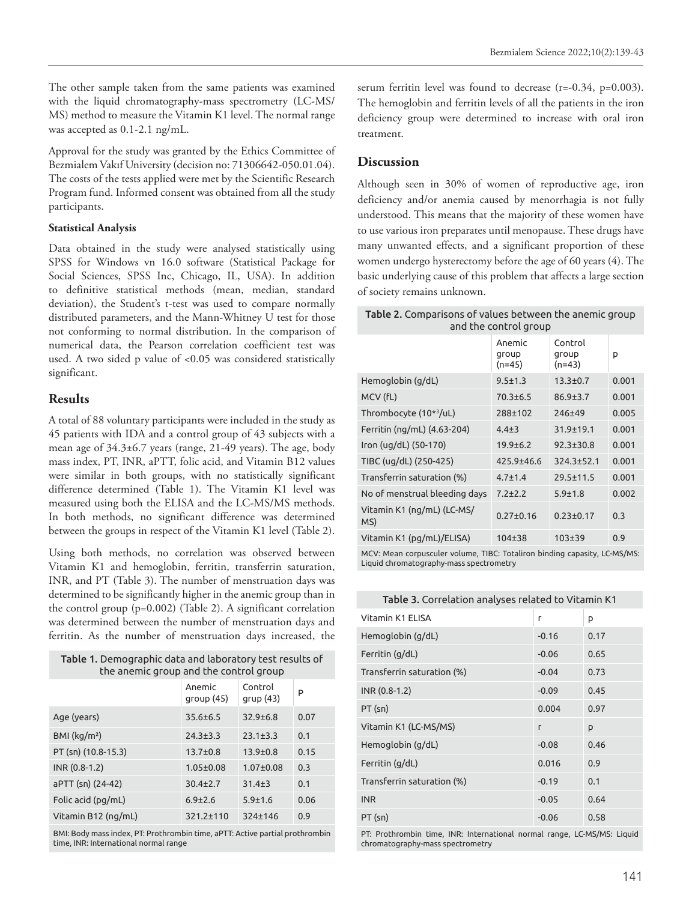The other sample taken from the same patients was examined with the liquid chromatography-mass spectrometry (LC-MS/ MS) method to measure the Vitamin K1 level. The normal range was accepted as 0.1-2.1 ng/mL.

Approval for the study was granted by the Ethics Committee of Bezmialem Vakıf University (decision no: 71306642-050.01.04). The costs of the tests applied were met by the Scientific Research Program fund. Informed consent was obtained from all the study participants.

#### **Statistical Analysis**

Data obtained in the study were analysed statistically using SPSS for Windows vn 16.0 software (Statistical Package for Social Sciences, SPSS Inc, Chicago, IL, USA). In addition to definitive statistical methods (mean, median, standard deviation), the Student's t-test was used to compare normally distributed parameters, and the Mann-Whitney U test for those not conforming to normal distribution. In the comparison of numerical data, the Pearson correlation coefficient test was used. A two sided p value of <0.05 was considered statistically significant.

#### **Results**

A total of 88 voluntary participants were included in the study as 45 patients with IDA and a control group of 43 subjects with a mean age of 34.3±6.7 years (range, 21-49 years). The age, body mass index, PT, INR, aPTT, folic acid, and Vitamin B12 values were similar in both groups, with no statistically significant difference determined (Table 1). The Vitamin K1 level was measured using both the ELISA and the LC-MS/MS methods. In both methods, no significant difference was determined between the groups in respect of the Vitamin K1 level (Table 2).

Using both methods, no correlation was observed between Vitamin K1 and hemoglobin, ferritin, transferrin saturation, INR, and PT (Table 3). The number of menstruation days was determined to be significantly higher in the anemic group than in the control group (p=0.002) (Table 2). A significant correlation was determined between the number of menstruation days and ferritin. As the number of menstruation days increased, the

| Table 1. Demographic data and laboratory test results of<br>the anemic group and the control group |                     |                     |      |  |  |
|----------------------------------------------------------------------------------------------------|---------------------|---------------------|------|--|--|
|                                                                                                    | Anemic<br>qroup(45) | Control<br>qrup(43) | P    |  |  |
| Age (years)                                                                                        | $35.6 \pm 6.5$      | $32.9 + 6.8$        | 0.07 |  |  |
| BMI (kg/m <sup>2</sup> )                                                                           | $24.3 \pm 3.3$      | $23.1 \pm 3.3$      | 0.1  |  |  |
| PT (sn) (10.8-15.3)                                                                                | $13.7 \pm 0.8$      | $13.9 \pm 0.8$      | 0.15 |  |  |
| $INR (0.8-1.2)$                                                                                    | $1.05 + 0.08$       | $1.07 + 0.08$       | 0.3  |  |  |
| aPTT (sn) (24-42)                                                                                  | $30.4 \pm 2.7$      | $31.4 \pm 3$        | 0.1  |  |  |
| Folic acid (pg/mL)                                                                                 | $6.9{\pm}2.6$       | $5.9 + 1.6$         | 0.06 |  |  |
| Vitamin B12 (ng/mL)                                                                                | 321.2±110           | 324±146             | 0.9  |  |  |
|                                                                                                    |                     |                     |      |  |  |

BMI: Body mass index, PT: Prothrombin time, aPTT: Active partial prothrombin time, INR: International normal range

serum ferritin level was found to decrease (r=-0.34, p=0.003). The hemoglobin and ferritin levels of all the patients in the iron deficiency group were determined to increase with oral iron treatment.

#### **Discussion**

Although seen in 30% of women of reproductive age, iron deficiency and/or anemia caused by menorrhagia is not fully understood. This means that the majority of these women have to use various iron preparates until menopause. These drugs have many unwanted effects, and a significant proportion of these women undergo hysterectomy before the age of 60 years (4). The basic underlying cause of this problem that affects a large section of society remains unknown.

| Control<br>Anemic<br>group<br>group<br>p<br>$(n=45)$<br>$(n=43)$<br>Hemoglobin (g/dL)<br>$9.5 \pm 1.3$<br>$13.3 \pm 0.7$<br>0.001<br>MCV (fL)<br>$70.3 \pm 6.5$<br>0.001<br>$86.9 \pm 3.7$<br>Thrombocyte (10 <sup>*3</sup> /uL)<br>288±102<br>0.005<br>246±49<br>Ferritin (ng/mL) (4.63-204)<br>$31.9 \pm 19.1$<br>0.001<br>$4.4 + 3$ |
|----------------------------------------------------------------------------------------------------------------------------------------------------------------------------------------------------------------------------------------------------------------------------------------------------------------------------------------|
|                                                                                                                                                                                                                                                                                                                                        |
|                                                                                                                                                                                                                                                                                                                                        |
|                                                                                                                                                                                                                                                                                                                                        |
|                                                                                                                                                                                                                                                                                                                                        |
|                                                                                                                                                                                                                                                                                                                                        |
| Iron (ug/dL) (50-170)<br>$92.3 \pm 30.8$<br>0.001<br>$19.9 \pm 6.2$                                                                                                                                                                                                                                                                    |
| TIBC (ug/dL) (250-425)<br>425.9±46.6<br>324.3±52.1<br>0.001                                                                                                                                                                                                                                                                            |
| Transferrin saturation (%)<br>$4.7 \pm 1.4$<br>$29.5 \pm 11.5$<br>0.001                                                                                                                                                                                                                                                                |
| No of menstrual bleeding days<br>$5.9 \pm 1.8$<br>0.002<br>$7.2 + 2.2$                                                                                                                                                                                                                                                                 |
| Vitamin K1 (ng/mL) (LC-MS/<br>$0.27 \pm 0.16$<br>$0.23 \pm 0.17$<br>0.3<br>MS)                                                                                                                                                                                                                                                         |
| Vitamin K1 (pg/mL)/ELISA)<br>$104 + 38$<br>$103 + 39$<br>0.9                                                                                                                                                                                                                                                                           |

MCV: Mean corpusculer volume, TIBC: Totaliron binding capasity, LC-MS/MS: Liquid chromatography-mass spectrometry

| Table 3. Correlation analyses related to Vitamin K1 |  |
|-----------------------------------------------------|--|
|-----------------------------------------------------|--|

| Vitamin K1 FLISA           | г       | p    |
|----------------------------|---------|------|
| Hemoglobin (g/dL)          | $-0.16$ | 0.17 |
| Ferritin (g/dL)            | $-0.06$ | 0.65 |
| Transferrin saturation (%) | $-0.04$ | 0.73 |
| INR (0.8-1.2)              | $-0.09$ | 0.45 |
| $PT$ (sn)                  | 0.004   | 0.97 |
| Vitamin K1 (LC-MS/MS)      | г       | p    |
| Hemoglobin (g/dL)          | $-0.08$ | 0.46 |
| Ferritin (g/dL)            | 0.016   | 0.9  |
| Transferrin saturation (%) | $-0.19$ | 0.1  |
| <b>INR</b>                 | $-0.05$ | 0.64 |
| $PT$ (sn)                  | $-0.06$ | 0.58 |

PT: Prothrombin time, INR: International normal range, LC-MS/MS: Liquid chromatography-mass spectrometry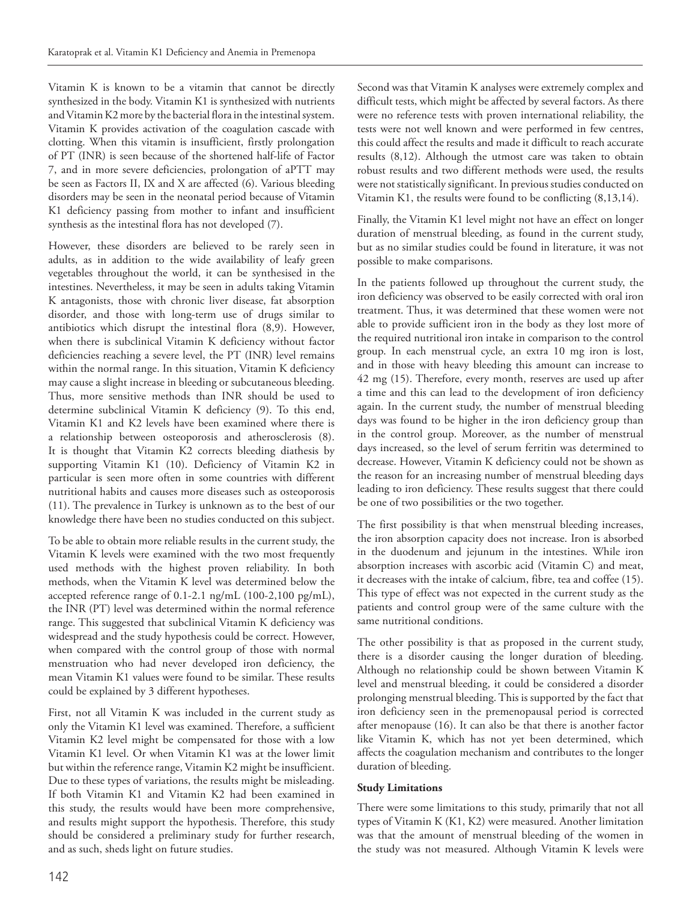Vitamin K is known to be a vitamin that cannot be directly synthesized in the body. Vitamin K1 is synthesized with nutrients and Vitamin K2 more by the bacterial flora in the intestinal system. Vitamin K provides activation of the coagulation cascade with clotting. When this vitamin is insufficient, firstly prolongation of PT (INR) is seen because of the shortened half-life of Factor 7, and in more severe deficiencies, prolongation of aPTT may be seen as Factors II, IX and X are affected (6). Various bleeding disorders may be seen in the neonatal period because of Vitamin K1 deficiency passing from mother to infant and insufficient synthesis as the intestinal flora has not developed (7).

However, these disorders are believed to be rarely seen in adults, as in addition to the wide availability of leafy green vegetables throughout the world, it can be synthesised in the intestines. Nevertheless, it may be seen in adults taking Vitamin K antagonists, those with chronic liver disease, fat absorption disorder, and those with long-term use of drugs similar to antibiotics which disrupt the intestinal flora (8,9). However, when there is subclinical Vitamin K deficiency without factor deficiencies reaching a severe level, the PT (INR) level remains within the normal range. In this situation, Vitamin K deficiency may cause a slight increase in bleeding or subcutaneous bleeding. Thus, more sensitive methods than INR should be used to determine subclinical Vitamin K deficiency (9). To this end, Vitamin K1 and K2 levels have been examined where there is a relationship between osteoporosis and atherosclerosis (8). It is thought that Vitamin K2 corrects bleeding diathesis by supporting Vitamin K1 (10). Deficiency of Vitamin K2 in particular is seen more often in some countries with different nutritional habits and causes more diseases such as osteoporosis (11). The prevalence in Turkey is unknown as to the best of our knowledge there have been no studies conducted on this subject.

To be able to obtain more reliable results in the current study, the Vitamin K levels were examined with the two most frequently used methods with the highest proven reliability. In both methods, when the Vitamin K level was determined below the accepted reference range of 0.1-2.1 ng/mL (100-2,100 pg/mL), the INR (PT) level was determined within the normal reference range. This suggested that subclinical Vitamin K deficiency was widespread and the study hypothesis could be correct. However, when compared with the control group of those with normal menstruation who had never developed iron deficiency, the mean Vitamin K1 values were found to be similar. These results could be explained by 3 different hypotheses.

First, not all Vitamin K was included in the current study as only the Vitamin K1 level was examined. Therefore, a sufficient Vitamin K2 level might be compensated for those with a low Vitamin K1 level. Or when Vitamin K1 was at the lower limit but within the reference range, Vitamin K2 might be insufficient. Due to these types of variations, the results might be misleading. If both Vitamin K1 and Vitamin K2 had been examined in this study, the results would have been more comprehensive, and results might support the hypothesis. Therefore, this study should be considered a preliminary study for further research, and as such, sheds light on future studies.

Second was that Vitamin K analyses were extremely complex and difficult tests, which might be affected by several factors. As there were no reference tests with proven international reliability, the tests were not well known and were performed in few centres, this could affect the results and made it difficult to reach accurate results (8,12). Although the utmost care was taken to obtain robust results and two different methods were used, the results were not statistically significant. In previous studies conducted on Vitamin K1, the results were found to be conflicting (8,13,14).

Finally, the Vitamin K1 level might not have an effect on longer duration of menstrual bleeding, as found in the current study, but as no similar studies could be found in literature, it was not possible to make comparisons.

In the patients followed up throughout the current study, the iron deficiency was observed to be easily corrected with oral iron treatment. Thus, it was determined that these women were not able to provide sufficient iron in the body as they lost more of the required nutritional iron intake in comparison to the control group. In each menstrual cycle, an extra 10 mg iron is lost, and in those with heavy bleeding this amount can increase to 42 mg (15). Therefore, every month, reserves are used up after a time and this can lead to the development of iron deficiency again. In the current study, the number of menstrual bleeding days was found to be higher in the iron deficiency group than in the control group. Moreover, as the number of menstrual days increased, so the level of serum ferritin was determined to decrease. However, Vitamin K deficiency could not be shown as the reason for an increasing number of menstrual bleeding days leading to iron deficiency. These results suggest that there could be one of two possibilities or the two together.

The first possibility is that when menstrual bleeding increases, the iron absorption capacity does not increase. Iron is absorbed in the duodenum and jejunum in the intestines. While iron absorption increases with ascorbic acid (Vitamin C) and meat, it decreases with the intake of calcium, fibre, tea and coffee (15). This type of effect was not expected in the current study as the patients and control group were of the same culture with the same nutritional conditions.

The other possibility is that as proposed in the current study, there is a disorder causing the longer duration of bleeding. Although no relationship could be shown between Vitamin K level and menstrual bleeding, it could be considered a disorder prolonging menstrual bleeding. This is supported by the fact that iron deficiency seen in the premenopausal period is corrected after menopause (16). It can also be that there is another factor like Vitamin K, which has not yet been determined, which affects the coagulation mechanism and contributes to the longer duration of bleeding.

#### **Study Limitations**

There were some limitations to this study, primarily that not all types of Vitamin K (K1, K2) were measured. Another limitation was that the amount of menstrual bleeding of the women in the study was not measured. Although Vitamin K levels were